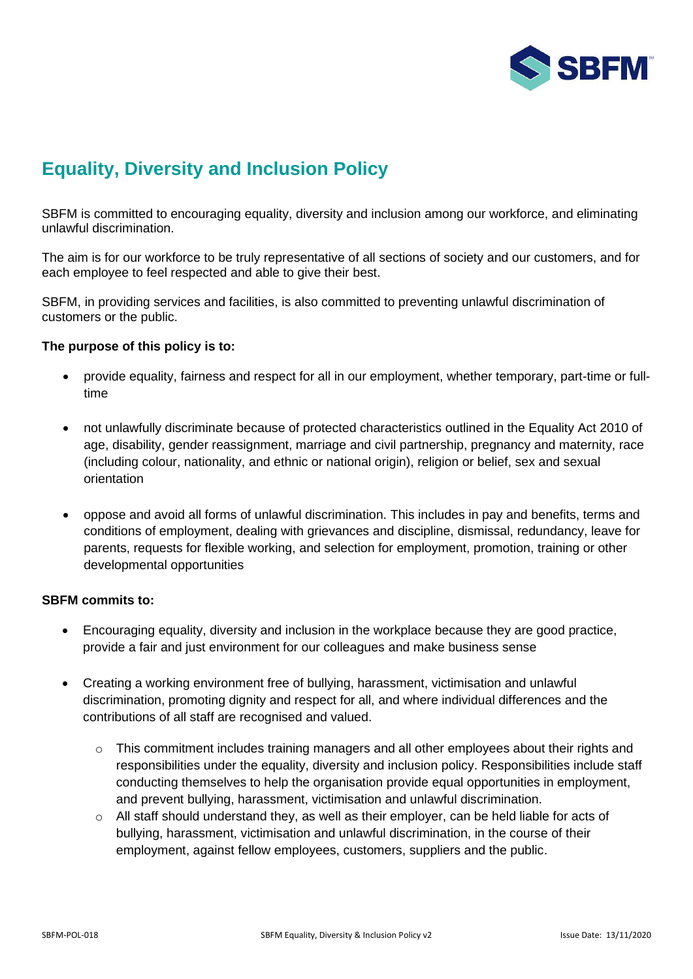

# **Equality, Diversity and Inclusion Policy**

SBFM is committed to encouraging equality, diversity and inclusion among our workforce, and eliminating unlawful discrimination.

The aim is for our workforce to be truly representative of all sections of society and our customers, and for each employee to feel respected and able to give their best.

SBFM, in providing services and facilities, is also committed to preventing unlawful discrimination of customers or the public.

## **The purpose of this policy is to:**

- provide equality, fairness and respect for all in our employment, whether temporary, part-time or fulltime
- not unlawfully discriminate because of protected characteristics outlined in the Equality Act 2010 of age, disability, gender reassignment, marriage and civil partnership, pregnancy and maternity, race (including colour, nationality, and ethnic or national origin), religion or belief, sex and sexual orientation
- oppose and avoid all forms of unlawful discrimination. This includes in pay and benefits, terms and conditions of employment, dealing with grievances and discipline, dismissal, redundancy, leave for parents, requests for flexible working, and selection for employment, promotion, training or other developmental opportunities

#### **SBFM commits to:**

- Encouraging equality, diversity and inclusion in the workplace because they are good practice, provide a fair and just environment for our colleagues and make business sense
- Creating a working environment free of bullying, harassment, victimisation and unlawful discrimination, promoting dignity and respect for all, and where individual differences and the contributions of all staff are recognised and valued.
	- $\circ$  This commitment includes training managers and all other employees about their rights and responsibilities under the equality, diversity and inclusion policy. Responsibilities include staff conducting themselves to help the organisation provide equal opportunities in employment, and prevent bullying, harassment, victimisation and unlawful discrimination.
	- $\circ$  All staff should understand they, as well as their employer, can be held liable for acts of bullying, harassment, victimisation and unlawful discrimination, in the course of their employment, against fellow employees, customers, suppliers and the public.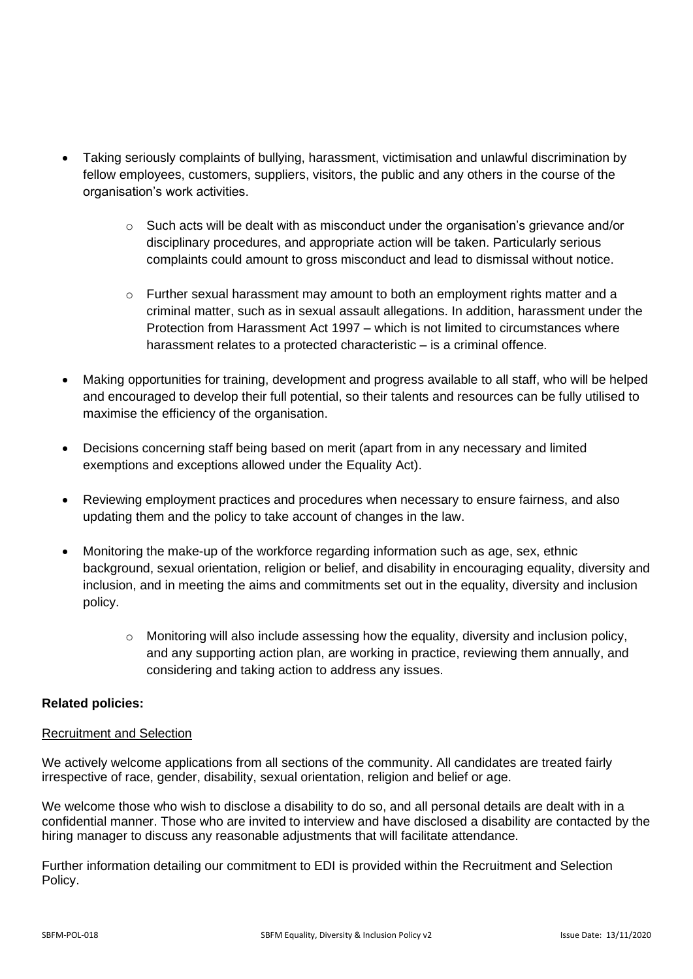- Taking seriously complaints of bullying, harassment, victimisation and unlawful discrimination by fellow employees, customers, suppliers, visitors, the public and any others in the course of the organisation's work activities.
	- $\circ$  Such acts will be dealt with as misconduct under the organisation's grievance and/or disciplinary procedures, and appropriate action will be taken. Particularly serious complaints could amount to gross misconduct and lead to dismissal without notice.
	- $\circ$  Further sexual harassment may amount to both an employment rights matter and a criminal matter, such as in sexual assault allegations. In addition, harassment under the Protection from Harassment Act 1997 – which is not limited to circumstances where harassment relates to a protected characteristic – is a criminal offence.
- Making opportunities for training, development and progress available to all staff, who will be helped and encouraged to develop their full potential, so their talents and resources can be fully utilised to maximise the efficiency of the organisation.
- Decisions concerning staff being based on merit (apart from in any necessary and limited exemptions and exceptions allowed under the Equality Act).
- Reviewing employment practices and procedures when necessary to ensure fairness, and also updating them and the policy to take account of changes in the law.
- Monitoring the make-up of the workforce regarding information such as age, sex, ethnic background, sexual orientation, religion or belief, and disability in encouraging equality, diversity and inclusion, and in meeting the aims and commitments set out in the equality, diversity and inclusion policy.
	- $\circ$  Monitoring will also include assessing how the equality, diversity and inclusion policy, and any supporting action plan, are working in practice, reviewing them annually, and considering and taking action to address any issues.

# **Related policies:**

# Recruitment and Selection

We actively welcome applications from all sections of the community. All candidates are treated fairly irrespective of race, gender, disability, sexual orientation, religion and belief or age.

We welcome those who wish to disclose a disability to do so, and all personal details are dealt with in a confidential manner. Those who are invited to interview and have disclosed a disability are contacted by the hiring manager to discuss any reasonable adjustments that will facilitate attendance.

Further information detailing our commitment to EDI is provided within the Recruitment and Selection Policy.